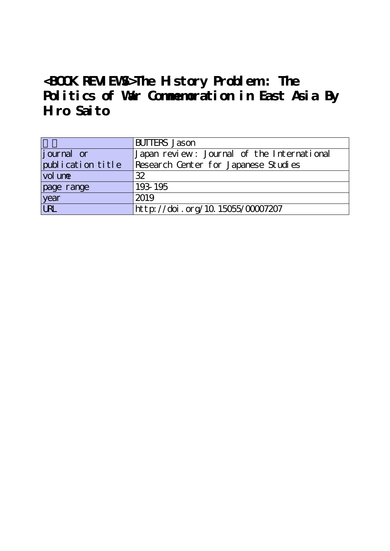## **<BOOK REVIEWS>The History Problem : The** Politics of War Commemoration in East Asia By **Hiro Saito**

|                    | <b>BUTTERS</b> Jason                       |
|--------------------|--------------------------------------------|
| <i>j</i> ournal or | Japan review: Journal of the International |
| publication title  | Research Center for Japanese Studies       |
| vol une            | 32                                         |
| page range         | 193-195                                    |
| year<br>URL        | 2019                                       |
|                    | http://doi.org/10.15055/00007207           |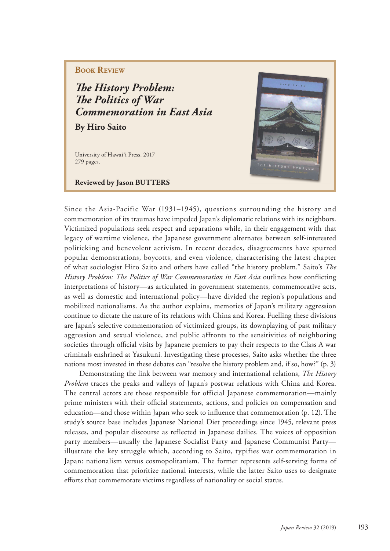## **BOOK REVIEW**

**The History Problem: The Politics of War** *Commemoration in East Asia*

**By Hiro Saito**

University of Hawai'i Press, 2017 279 pages.

**Reviewed by Jason BUTTERS** 



Since the Asia-Pacific War (1931–1945), questions surrounding the history and commemoration of its traumas have impeded Japan's diplomatic relations with its neighbors. Victimized populations seek respect and reparations while, in their engagement with that legacy of wartime violence, the Japanese government alternates between self-interested politicking and benevolent activism. In recent decades, disagreements have spurred popular demonstrations, boycotts, and even violence, characterising the latest chapter of what sociologist Hiro Saito and others have called "the history problem." Saito's *The History Problem: The Politics of War Commemoration in East Asia* outlines how conflicting interpretations of history—as articulated in government statements, commemorative acts, as well as domestic and international policy—have divided the region's populations and mobilized nationalisms. As the author explains, memories of Japan's military aggression continue to dictate the nature of its relations with China and Korea. Fuelling these divisions are Japan's selective commemoration of victimized groups, its downplaying of past military aggression and sexual violence, and public affronts to the sensitivities of neighboring societies through official visits by Japanese premiers to pay their respects to the Class A war criminals enshrined at Yasukuni. Investigating these processes, Saito asks whether the three nations most invested in these debates can "resolve the history problem and, if so, how?" (p. 3)

Demonstrating the link between war memory and international relations, *The History Problem* traces the peaks and valleys of Japan's postwar relations with China and Korea. The central actors are those responsible for official Japanese commemoration—mainly prime ministers with their official statements, actions, and policies on compensation and education—and those within Japan who seek to influence that commemoration  $(p, 12)$ . The study's source base includes Japanese National Diet proceedings since 1945, relevant press releases, and popular discourse as reflected in Japanese dailies. The voices of opposition party members—usually the Japanese Socialist Party and Japanese Communist Party illustrate the key struggle which, according to Saito, typifies war commemoration in Japan: nationalism versus cosmopolitanism. The former represents self-serving forms of commemoration that prioritize national interests, while the latter Saito uses to designate efforts that commemorate victims regardless of nationality or social status.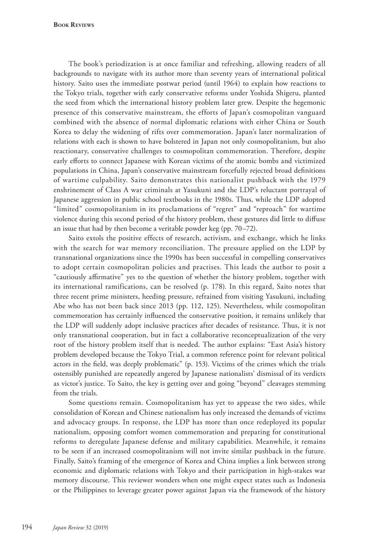**Book Reviews**

The book's periodization is at once familiar and refreshing, allowing readers of all backgrounds to navigate with its author more than seventy years of international political history. Saito uses the immediate postwar period (until 1964) to explain how reactions to the Tokyo trials, together with early conservative reforms under Yoshida Shigeru, planted the seed from which the international history problem later grew. Despite the hegemonic presence of this conservative mainstream, the efforts of Japan's cosmopolitan vanguard combined with the absence of normal diplomatic relations with either China or South Korea to delay the widening of rifts over commemoration. Japan's later normalization of relations with each is shown to have bolstered in Japan not only cosmopolitanism, but also reactionary, conservative challenges to cosmopolitan commemoration. Therefore, despite early efforts to connect Japanese with Korean victims of the atomic bombs and victimized populations in China, Japan's conservative mainstream forcefully rejected broad definitions of wartime culpability. Saito demonstrates this nationalist pushback with the 1979 enshrinement of Class A war criminals at Yasukuni and the LDP's reluctant portrayal of Japanese aggression in public school textbooks in the 1980s. Thus, while the LDP adopted "limited" cosmopolitanism in its proclamations of "regret" and "reproach" for wartime violence during this second period of the history problem, these gestures did little to diffuse an issue that had by then become a veritable powder keg (pp. 70–72).

Saito extols the positive effects of research, activism, and exchange, which he links with the search for war memory reconciliation. The pressure applied on the LDP by transnational organizations since the 1990s has been successful in compelling conservatives to adopt certain cosmopolitan policies and practises. This leads the author to posit a "cautiously affirmative" yes to the question of whether the history problem, together with its international ramifications, can be resolved (p. 178). In this regard, Saito notes that three recent prime ministers, heeding pressure, refrained from visiting Yasukuni, including Abe who has not been back since 2013 (pp. 112, 125). Nevertheless, while cosmopolitan commemoration has certainly influenced the conservative position, it remains unlikely that the LDP will suddenly adopt inclusive practices after decades of resistance. Thus, it is not only transnational cooperation, but in fact a collaborative reconceptualization of the very root of the history problem itself that is needed. The author explains: "East Asia's history problem developed because the Tokyo Trial, a common reference point for relevant political actors in the field, was deeply problematic" (p. 153). Victims of the crimes which the trials ostensibly punished are repeatedly angered by Japanese nationalists' dismissal of its verdicts as victor's justice. To Saito, the key is getting over and going "beyond" cleavages stemming from the trials.

Some questions remain. Cosmopolitanism has yet to appease the two sides, while consolidation of Korean and Chinese nationalism has only increased the demands of victims and advocacy groups. In response, the LDP has more than once redeployed its popular nationalism, opposing comfort women commemoration and preparing for constitutional reforms to deregulate Japanese defense and military capabilities. Meanwhile, it remains to be seen if an increased cosmopolitanism will not invite similar pushback in the future. Finally, Saito's framing of the emergence of Korea and China implies a link between strong economic and diplomatic relations with Tokyo and their participation in high-stakes war memory discourse. This reviewer wonders when one might expect states such as Indonesia or the Philippines to leverage greater power against Japan via the framework of the history